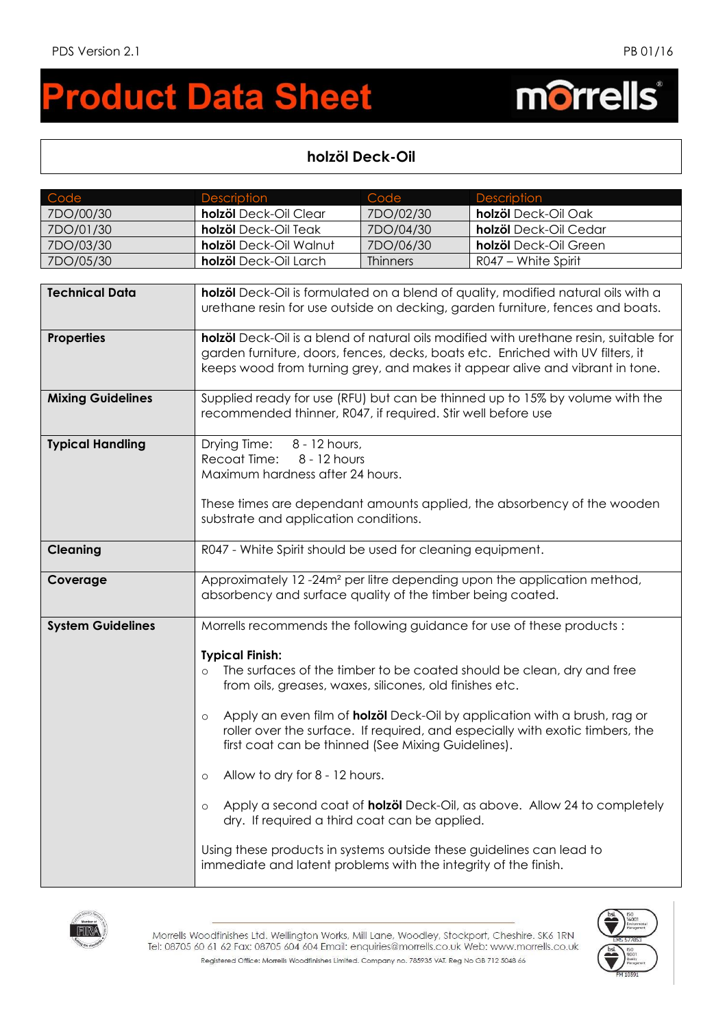## **roduct Data Sheet**  $\blacksquare$

## morrells®

## **holzöl Deck-Oil**

| Code                     | <b>Description</b>                                                                                                                                                                                                                                                                                                                                                                                                 | Code            | <b>Description</b>                                                                                                                                                                                                                                                                                                            |
|--------------------------|--------------------------------------------------------------------------------------------------------------------------------------------------------------------------------------------------------------------------------------------------------------------------------------------------------------------------------------------------------------------------------------------------------------------|-----------------|-------------------------------------------------------------------------------------------------------------------------------------------------------------------------------------------------------------------------------------------------------------------------------------------------------------------------------|
| 7DO/00/30                | holzöl Deck-Oil Clear                                                                                                                                                                                                                                                                                                                                                                                              | 7DO/02/30       | holzöl Deck-Oil Oak                                                                                                                                                                                                                                                                                                           |
| 7DO/01/30                | holzöl Deck-Oil Teak                                                                                                                                                                                                                                                                                                                                                                                               | 7DO/04/30       | holzöl Deck-Oil Cedar                                                                                                                                                                                                                                                                                                         |
| 7DO/03/30                | holzöl Deck-Oil Walnut                                                                                                                                                                                                                                                                                                                                                                                             | 7DO/06/30       | holzöl Deck-Oil Green                                                                                                                                                                                                                                                                                                         |
| 7DO/05/30                | holzöl Deck-Oil Larch                                                                                                                                                                                                                                                                                                                                                                                              | <b>Thinners</b> | R047 - White Spirit                                                                                                                                                                                                                                                                                                           |
|                          |                                                                                                                                                                                                                                                                                                                                                                                                                    |                 |                                                                                                                                                                                                                                                                                                                               |
| <b>Technical Data</b>    | holzöl Deck-Oil is formulated on a blend of quality, modified natural oils with a<br>urethane resin for use outside on decking, garden furniture, fences and boats.                                                                                                                                                                                                                                                |                 |                                                                                                                                                                                                                                                                                                                               |
| <b>Properties</b>        | holzöl Deck-Oil is a blend of natural oils modified with urethane resin, suitable for<br>garden furniture, doors, fences, decks, boats etc. Enriched with UV filters, it<br>keeps wood from turning grey, and makes it appear alive and vibrant in tone.                                                                                                                                                           |                 |                                                                                                                                                                                                                                                                                                                               |
| <b>Mixing Guidelines</b> | Supplied ready for use (RFU) but can be thinned up to 15% by volume with the<br>recommended thinner, R047, if required. Stir well before use                                                                                                                                                                                                                                                                       |                 |                                                                                                                                                                                                                                                                                                                               |
| <b>Typical Handling</b>  | 8 - 12 hours,<br>Drying Time:<br>Recoat Time:<br>8 - 12 hours<br>Maximum hardness after 24 hours.<br>These times are dependant amounts applied, the absorbency of the wooden<br>substrate and application conditions.                                                                                                                                                                                              |                 |                                                                                                                                                                                                                                                                                                                               |
| <b>Cleaning</b>          | R047 - White Spirit should be used for cleaning equipment.                                                                                                                                                                                                                                                                                                                                                         |                 |                                                                                                                                                                                                                                                                                                                               |
|                          |                                                                                                                                                                                                                                                                                                                                                                                                                    |                 |                                                                                                                                                                                                                                                                                                                               |
| Coverage                 | Approximately 12-24m <sup>2</sup> per litre depending upon the application method,<br>absorbency and surface quality of the timber being coated.                                                                                                                                                                                                                                                                   |                 |                                                                                                                                                                                                                                                                                                                               |
| <b>System Guidelines</b> |                                                                                                                                                                                                                                                                                                                                                                                                                    |                 | Morrells recommends the following guidance for use of these products:                                                                                                                                                                                                                                                         |
|                          | <b>Typical Finish:</b><br>$\Omega$<br>from oils, greases, waxes, silicones, old finishes etc.<br>$\circ$<br>first coat can be thinned (See Mixing Guidelines).<br>Allow to dry for 8 - 12 hours.<br>$\circ$<br>$\circ$<br>dry. If required a third coat can be applied.<br>Using these products in systems outside these guidelines can lead to<br>immediate and latent problems with the integrity of the finish. |                 | The surfaces of the timber to be coated should be clean, dry and free<br>Apply an even film of <b>holzöl</b> Deck-Oil by application with a brush, rag or<br>roller over the surface. If required, and especially with exotic timbers, the<br>Apply a second coat of <b>holzöl</b> Deck-Oil, as above. Allow 24 to completely |